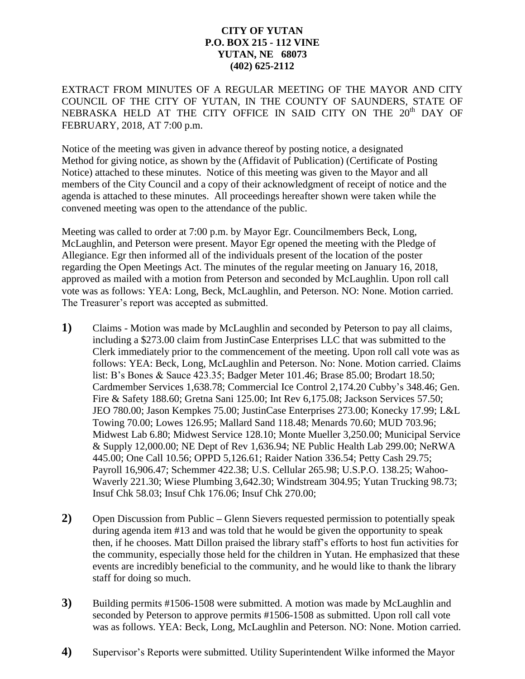## **CITY OF YUTAN P.O. BOX 215 - 112 VINE YUTAN, NE 68073 (402) 625-2112**

EXTRACT FROM MINUTES OF A REGULAR MEETING OF THE MAYOR AND CITY COUNCIL OF THE CITY OF YUTAN, IN THE COUNTY OF SAUNDERS, STATE OF NEBRASKA HELD AT THE CITY OFFICE IN SAID CITY ON THE 20<sup>th</sup> DAY OF FEBRUARY, 2018, AT 7:00 p.m.

Notice of the meeting was given in advance thereof by posting notice, a designated Method for giving notice, as shown by the (Affidavit of Publication) (Certificate of Posting Notice) attached to these minutes. Notice of this meeting was given to the Mayor and all members of the City Council and a copy of their acknowledgment of receipt of notice and the agenda is attached to these minutes. All proceedings hereafter shown were taken while the convened meeting was open to the attendance of the public.

Meeting was called to order at 7:00 p.m. by Mayor Egr. Councilmembers Beck, Long, McLaughlin, and Peterson were present. Mayor Egr opened the meeting with the Pledge of Allegiance. Egr then informed all of the individuals present of the location of the poster regarding the Open Meetings Act. The minutes of the regular meeting on January 16, 2018, approved as mailed with a motion from Peterson and seconded by McLaughlin. Upon roll call vote was as follows: YEA: Long, Beck, McLaughlin, and Peterson. NO: None. Motion carried. The Treasurer's report was accepted as submitted.

- **1)** Claims Motion was made by McLaughlin and seconded by Peterson to pay all claims, including a \$273.00 claim from JustinCase Enterprises LLC that was submitted to the Clerk immediately prior to the commencement of the meeting. Upon roll call vote was as follows: YEA: Beck, Long, McLaughlin and Peterson. No: None. Motion carried. Claims list: B's Bones & Sauce 423.35; Badger Meter 101.46; Brase 85.00; Brodart 18.50; Cardmember Services 1,638.78; Commercial Ice Control 2,174.20 Cubby's 348.46; Gen. Fire & Safety 188.60; Gretna Sani 125.00; Int Rev 6,175.08; Jackson Services 57.50; JEO 780.00; Jason Kempkes 75.00; JustinCase Enterprises 273.00; Konecky 17.99; L&L Towing 70.00; Lowes 126.95; Mallard Sand 118.48; Menards 70.60; MUD 703.96; Midwest Lab 6.80; Midwest Service 128.10; Monte Mueller 3,250.00; Municipal Service & Supply 12,000.00; NE Dept of Rev 1,636.94; NE Public Health Lab 299.00; NeRWA 445.00; One Call 10.56; OPPD 5,126.61; Raider Nation 336.54; Petty Cash 29.75; Payroll 16,906.47; Schemmer 422.38; U.S. Cellular 265.98; U.S.P.O. 138.25; Wahoo-Waverly 221.30; Wiese Plumbing 3,642.30; Windstream 304.95; Yutan Trucking 98.73; Insuf Chk 58.03; Insuf Chk 176.06; Insuf Chk 270.00;
- **2)** Open Discussion from Public **–** Glenn Sievers requested permission to potentially speak during agenda item #13 and was told that he would be given the opportunity to speak then, if he chooses. Matt Dillon praised the library staff's efforts to host fun activities for the community, especially those held for the children in Yutan. He emphasized that these events are incredibly beneficial to the community, and he would like to thank the library staff for doing so much.
- **3)** Building permits #1506-1508 were submitted. A motion was made by McLaughlin and seconded by Peterson to approve permits #1506-1508 as submitted. Upon roll call vote was as follows. YEA: Beck, Long, McLaughlin and Peterson. NO: None. Motion carried.
- **4)** Supervisor's Reports were submitted. Utility Superintendent Wilke informed the Mayor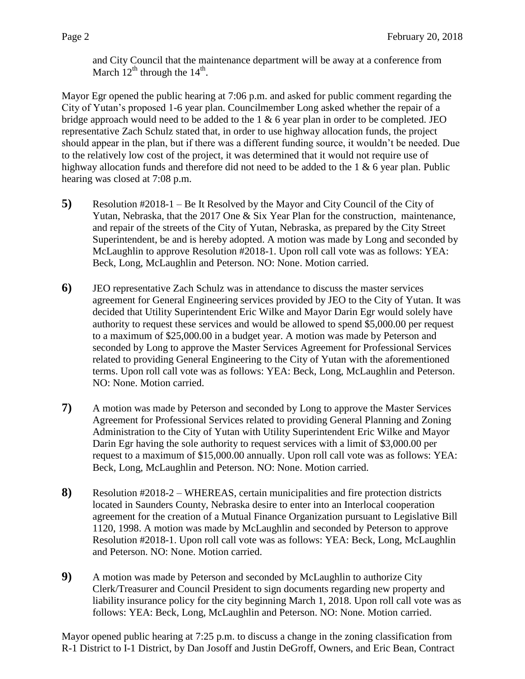and City Council that the maintenance department will be away at a conference from March  $12^{th}$  through the  $14^{th}$ .

Mayor Egr opened the public hearing at 7:06 p.m. and asked for public comment regarding the City of Yutan's proposed 1-6 year plan. Councilmember Long asked whether the repair of a bridge approach would need to be added to the 1 & 6 year plan in order to be completed. JEO representative Zach Schulz stated that, in order to use highway allocation funds, the project should appear in the plan, but if there was a different funding source, it wouldn't be needed. Due to the relatively low cost of the project, it was determined that it would not require use of highway allocation funds and therefore did not need to be added to the 1 & 6 year plan. Public hearing was closed at 7:08 p.m.

- **5)** Resolution #2018-1 Be It Resolved by the Mayor and City Council of the City of Yutan, Nebraska, that the 2017 One & Six Year Plan for the construction, maintenance, and repair of the streets of the City of Yutan, Nebraska, as prepared by the City Street Superintendent, be and is hereby adopted. A motion was made by Long and seconded by McLaughlin to approve Resolution #2018-1. Upon roll call vote was as follows: YEA: Beck, Long, McLaughlin and Peterson. NO: None. Motion carried.
- **6)** JEO representative Zach Schulz was in attendance to discuss the master services agreement for General Engineering services provided by JEO to the City of Yutan. It was decided that Utility Superintendent Eric Wilke and Mayor Darin Egr would solely have authority to request these services and would be allowed to spend \$5,000.00 per request to a maximum of \$25,000.00 in a budget year. A motion was made by Peterson and seconded by Long to approve the Master Services Agreement for Professional Services related to providing General Engineering to the City of Yutan with the aforementioned terms. Upon roll call vote was as follows: YEA: Beck, Long, McLaughlin and Peterson. NO: None. Motion carried.
- **7)** A motion was made by Peterson and seconded by Long to approve the Master Services Agreement for Professional Services related to providing General Planning and Zoning Administration to the City of Yutan with Utility Superintendent Eric Wilke and Mayor Darin Egr having the sole authority to request services with a limit of \$3,000.00 per request to a maximum of \$15,000.00 annually. Upon roll call vote was as follows: YEA: Beck, Long, McLaughlin and Peterson. NO: None. Motion carried.
- **8)** Resolution #2018-2 WHEREAS, certain municipalities and fire protection districts located in Saunders County, Nebraska desire to enter into an Interlocal cooperation agreement for the creation of a Mutual Finance Organization pursuant to Legislative Bill 1120, 1998. A motion was made by McLaughlin and seconded by Peterson to approve Resolution #2018-1. Upon roll call vote was as follows: YEA: Beck, Long, McLaughlin and Peterson. NO: None. Motion carried.
- **9)** A motion was made by Peterson and seconded by McLaughlin to authorize City Clerk/Treasurer and Council President to sign documents regarding new property and liability insurance policy for the city beginning March 1, 2018. Upon roll call vote was as follows: YEA: Beck, Long, McLaughlin and Peterson. NO: None. Motion carried.

Mayor opened public hearing at 7:25 p.m. to discuss a change in the zoning classification from R-1 District to I-1 District, by Dan Josoff and Justin DeGroff, Owners, and Eric Bean, Contract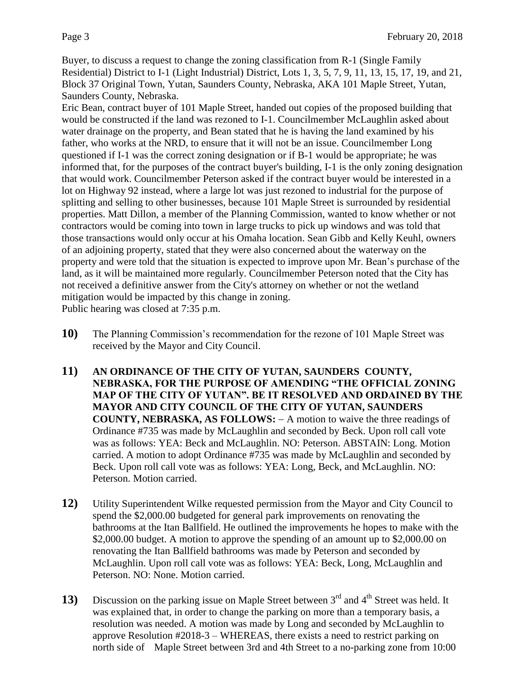Buyer, to discuss a request to change the zoning classification from R-1 (Single Family Residential) District to I-1 (Light Industrial) District, Lots 1, 3, 5, 7, 9, 11, 13, 15, 17, 19, and 21, Block 37 Original Town, Yutan, Saunders County, Nebraska, AKA 101 Maple Street, Yutan, Saunders County, Nebraska.

Eric Bean, contract buyer of 101 Maple Street, handed out copies of the proposed building that would be constructed if the land was rezoned to I-1. Councilmember McLaughlin asked about water drainage on the property, and Bean stated that he is having the land examined by his father, who works at the NRD, to ensure that it will not be an issue. Councilmember Long questioned if I-1 was the correct zoning designation or if B-1 would be appropriate; he was informed that, for the purposes of the contract buyer's building, I-1 is the only zoning designation that would work. Councilmember Peterson asked if the contract buyer would be interested in a lot on Highway 92 instead, where a large lot was just rezoned to industrial for the purpose of splitting and selling to other businesses, because 101 Maple Street is surrounded by residential properties. Matt Dillon, a member of the Planning Commission, wanted to know whether or not contractors would be coming into town in large trucks to pick up windows and was told that those transactions would only occur at his Omaha location. Sean Gibb and Kelly Keuhl, owners of an adjoining property, stated that they were also concerned about the waterway on the property and were told that the situation is expected to improve upon Mr. Bean's purchase of the land, as it will be maintained more regularly. Councilmember Peterson noted that the City has not received a definitive answer from the City's attorney on whether or not the wetland mitigation would be impacted by this change in zoning. Public hearing was closed at 7:35 p.m.

- **10)** The Planning Commission's recommendation for the rezone of 101 Maple Street was received by the Mayor and City Council.
- **11) AN ORDINANCE OF THE CITY OF YUTAN, SAUNDERS COUNTY, NEBRASKA, FOR THE PURPOSE OF AMENDING "THE OFFICIAL ZONING MAP OF THE CITY OF YUTAN". BE IT RESOLVED AND ORDAINED BY THE MAYOR AND CITY COUNCIL OF THE CITY OF YUTAN, SAUNDERS COUNTY, NEBRASKA, AS FOLLOWS:** - A motion to waive the three readings of Ordinance #735 was made by McLaughlin and seconded by Beck. Upon roll call vote was as follows: YEA: Beck and McLaughlin. NO: Peterson. ABSTAIN: Long. Motion carried. A motion to adopt Ordinance #735 was made by McLaughlin and seconded by Beck. Upon roll call vote was as follows: YEA: Long, Beck, and McLaughlin. NO: Peterson. Motion carried.
- **12)** Utility Superintendent Wilke requested permission from the Mayor and City Council to spend the \$2,000.00 budgeted for general park improvements on renovating the bathrooms at the Itan Ballfield. He outlined the improvements he hopes to make with the \$2,000.00 budget. A motion to approve the spending of an amount up to \$2,000.00 on renovating the Itan Ballfield bathrooms was made by Peterson and seconded by McLaughlin. Upon roll call vote was as follows: YEA: Beck, Long, McLaughlin and Peterson. NO: None. Motion carried.
- **13)** Discussion on the parking issue on Maple Street between 3<sup>rd</sup> and 4<sup>th</sup> Street was held. It was explained that, in order to change the parking on more than a temporary basis, a resolution was needed. A motion was made by Long and seconded by McLaughlin to approve Resolution #2018-3 – WHEREAS, there exists a need to restrict parking on north side of Maple Street between 3rd and 4th Street to a no-parking zone from 10:00